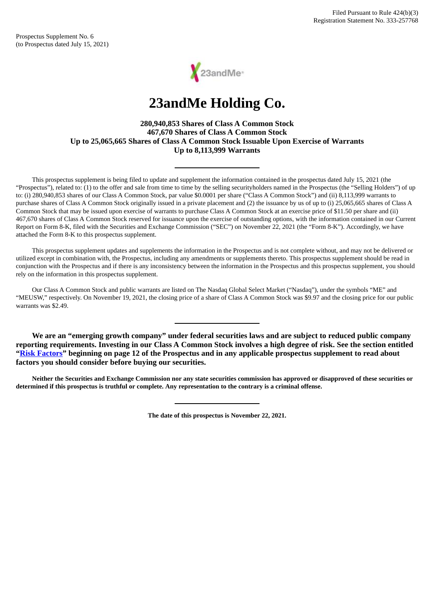Prospectus Supplement No. 6 (to Prospectus dated July 15, 2021)



# **23andMe Holding Co.**

## **280,940,853 Shares of Class A Common Stock 467,670 Shares of Class A Common Stock Up to 25,065,665 Shares of Class A Common Stock Issuable Upon Exercise of Warrants Up to 8,113,999 Warrants**

This prospectus supplement is being filed to update and supplement the information contained in the prospectus dated July 15, 2021 (the "Prospectus"), related to: (1) to the offer and sale from time to time by the selling securityholders named in the Prospectus (the "Selling Holders") of up to: (i) 280,940,853 shares of our Class A Common Stock, par value \$0.0001 per share ("Class A Common Stock") and (ii) 8,113,999 warrants to purchase shares of Class A Common Stock originally issued in a private placement and (2) the issuance by us of up to (i) 25,065,665 shares of Class A Common Stock that may be issued upon exercise of warrants to purchase Class A Common Stock at an exercise price of \$11.50 per share and (ii) 467,670 shares of Class A Common Stock reserved for issuance upon the exercise of outstanding options, with the information contained in our Current Report on Form 8-K, filed with the Securities and Exchange Commission ("SEC") on November 22, 2021 (the "Form 8-K"). Accordingly, we have attached the Form 8-K to this prospectus supplement.

This prospectus supplement updates and supplements the information in the Prospectus and is not complete without, and may not be delivered or utilized except in combination with, the Prospectus, including any amendments or supplements thereto. This prospectus supplement should be read in conjunction with the Prospectus and if there is any inconsistency between the information in the Prospectus and this prospectus supplement, you should rely on the information in this prospectus supplement.

Our Class A Common Stock and public warrants are listed on The Nasdaq Global Select Market ("Nasdaq"), under the symbols "ME" and "MEUSW," respectively. On November 19, 2021, the closing price of a share of Class A Common Stock was \$9.97 and the closing price for our public warrants was \$2.49.

**We are an "emerging growth company" under federal securities laws and are subject to reduced public company reporting requirements. Investing in our Class A Common Stock involves a high degree of risk. See the section entitled ["Risk Factors"](http://www.sec.gov/Archives/edgar/data/1804591/000119312521223056/d154309d424b3.htm#tx154309_4) beginning on page 12 of the Prospectus and in any applicable prospectus supplement to read about factors you should consider before buying our securities.**

Neither the Securities and Exchange Commission nor any state securities commission has approved or disapproved of these securities or determined if this prospectus is truthful or complete. Any representation to the contrary is a criminal offense.

**The date of this prospectus is November 22, 2021.**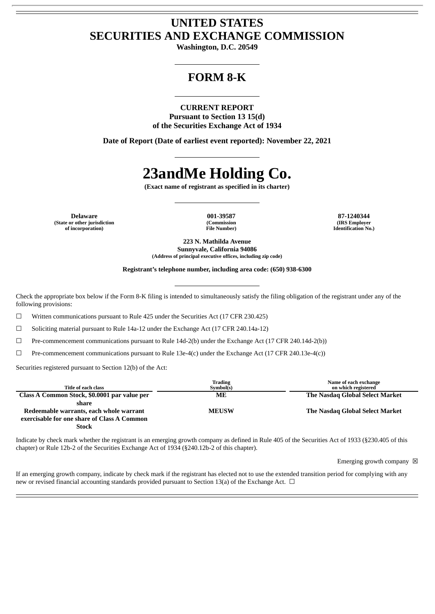# **UNITED STATES SECURITIES AND EXCHANGE COMMISSION**

**Washington, D.C. 20549**

# **FORM 8-K**

**CURRENT REPORT Pursuant to Section 13 15(d) of the Securities Exchange Act of 1934**

**Date of Report (Date of earliest event reported): November 22, 2021**

# **23andMe Holding Co.**

**(Exact name of registrant as specified in its charter)**

**Delaware 001-39587 87-1240344 (State or other jurisdiction of incorporation)**

**(Commission File Number)**

**(IRS Employer Identification No.)**

**223 N. Mathilda Avenue Sunnyvale, California 94086 (Address of principal executive offices, including zip code)**

**Registrant's telephone number, including area code: (650) 938-6300**

Check the appropriate box below if the Form 8-K filing is intended to simultaneously satisfy the filing obligation of the registrant under any of the following provisions:

☐ Written communications pursuant to Rule 425 under the Securities Act (17 CFR 230.425)

 $\Box$  Soliciting material pursuant to Rule 14a-12 under the Exchange Act (17 CFR 240.14a-12)

☐ Pre-commencement communications pursuant to Rule 14d-2(b) under the Exchange Act (17 CFR 240.14d-2(b))

 $\Box$  Pre-commencement communications pursuant to Rule 13e-4(c) under the Exchange Act (17 CFR 240.13e-4(c))

Securities registered pursuant to Section 12(b) of the Act:

| Title of each class                          | Trading<br>Symbol(s) | Name of each exchange<br>on which registered |
|----------------------------------------------|----------------------|----------------------------------------------|
| Class A Common Stock, \$0.0001 par value per | MЕ                   | The Nasdag Global Select Market              |
| share                                        |                      |                                              |
| Redeemable warrants, each whole warrant      | <b>MEUSW</b>         | The Nasdag Global Select Market              |
| exercisable for one share of Class A Common  |                      |                                              |
| <b>Stock</b>                                 |                      |                                              |

Indicate by check mark whether the registrant is an emerging growth company as defined in Rule 405 of the Securities Act of 1933 (§230.405 of this chapter) or Rule 12b-2 of the Securities Exchange Act of 1934 (§240.12b-2 of this chapter).

Emerging growth company  $\boxtimes$ 

If an emerging growth company, indicate by check mark if the registrant has elected not to use the extended transition period for complying with any new or revised financial accounting standards provided pursuant to Section 13(a) of the Exchange Act. □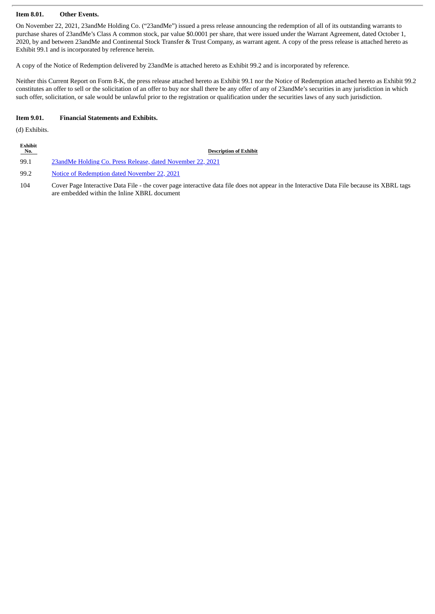#### **Item 8.01. Other Events.**

On November 22, 2021, 23andMe Holding Co. ("23andMe") issued a press release announcing the redemption of all of its outstanding warrants to purchase shares of 23andMe's Class A common stock, par value \$0.0001 per share, that were issued under the Warrant Agreement, dated October 1, 2020, by and between 23andMe and Continental Stock Transfer & Trust Company, as warrant agent. A copy of the press release is attached hereto as Exhibit 99.1 and is incorporated by reference herein.

A copy of the Notice of Redemption delivered by 23andMe is attached hereto as Exhibit 99.2 and is incorporated by reference.

Neither this Current Report on Form 8-K, the press release attached hereto as Exhibit 99.1 nor the Notice of Redemption attached hereto as Exhibit 99.2 constitutes an offer to sell or the solicitation of an offer to buy nor shall there be any offer of any of 23andMe's securities in any jurisdiction in which such offer, solicitation, or sale would be unlawful prior to the registration or qualification under the securities laws of any such jurisdiction.

because its XBRL tags

#### **Item 9.01. Financial Statements and Exhibits.**

(d) Exhibits.

| Exhibit<br>No. | <b>Description of Exhibit</b>                                                                                                                                        |
|----------------|----------------------------------------------------------------------------------------------------------------------------------------------------------------------|
| 99.1           | 23 and Me Holding Co. Press Release, dated November 22, 2021                                                                                                         |
| 99.2           | Notice of Redemption dated November 22, 2021                                                                                                                         |
| 104            | Cover Page Interactive Data File - the cover page interactive data file does not appear in the Interactive Data File<br>are embedded within the Inline XBRL document |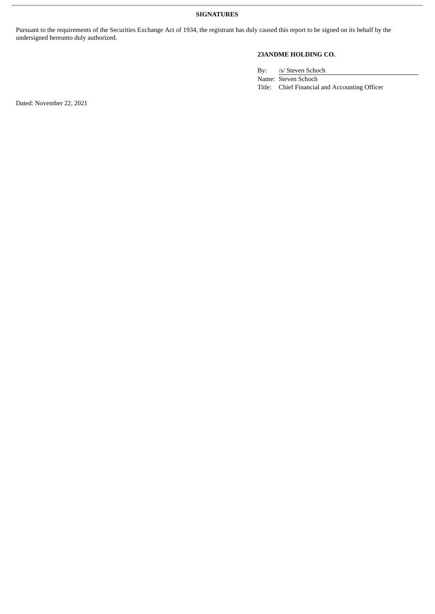Pursuant to the requirements of the Securities Exchange Act of 1934, the registrant has duly caused this report to be signed on its behalf by the undersigned hereunto duly authorized.

# **23ANDME HOLDING CO.**

By: /s/ Steven Schoch

Name: Steven Schoch Title: Chief Financial and Accounting Officer

Dated: November 22, 2021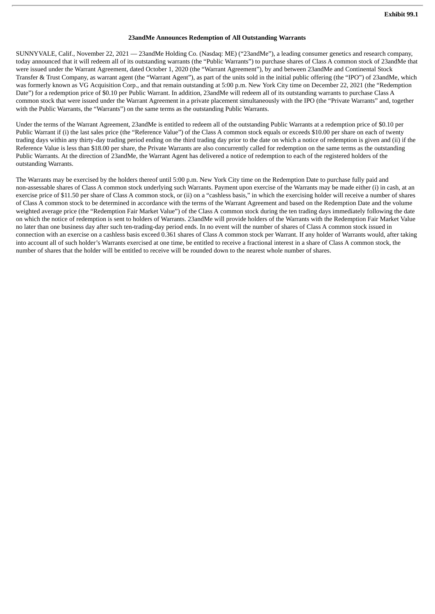#### **23andMe Announces Redemption of All Outstanding Warrants**

<span id="page-4-0"></span>SUNNYVALE, Calif., November 22, 2021 — 23andMe Holding Co. (Nasdaq: ME) ("23andMe"), a leading consumer genetics and research company, today announced that it will redeem all of its outstanding warrants (the "Public Warrants") to purchase shares of Class A common stock of 23andMe that were issued under the Warrant Agreement, dated October 1, 2020 (the "Warrant Agreement"), by and between 23andMe and Continental Stock Transfer & Trust Company, as warrant agent (the "Warrant Agent"), as part of the units sold in the initial public offering (the "IPO") of 23andMe, which was formerly known as VG Acquisition Corp., and that remain outstanding at 5:00 p.m. New York City time on December 22, 2021 (the "Redemption Date") for a redemption price of \$0.10 per Public Warrant. In addition, 23andMe will redeem all of its outstanding warrants to purchase Class A common stock that were issued under the Warrant Agreement in a private placement simultaneously with the IPO (the "Private Warrants" and, together with the Public Warrants, the "Warrants") on the same terms as the outstanding Public Warrants.

Under the terms of the Warrant Agreement, 23andMe is entitled to redeem all of the outstanding Public Warrants at a redemption price of \$0.10 per Public Warrant if (i) the last sales price (the "Reference Value") of the Class A common stock equals or exceeds \$10.00 per share on each of twenty trading days within any thirty-day trading period ending on the third trading day prior to the date on which a notice of redemption is given and (ii) if the Reference Value is less than \$18.00 per share, the Private Warrants are also concurrently called for redemption on the same terms as the outstanding Public Warrants. At the direction of 23andMe, the Warrant Agent has delivered a notice of redemption to each of the registered holders of the outstanding Warrants.

The Warrants may be exercised by the holders thereof until 5:00 p.m. New York City time on the Redemption Date to purchase fully paid and non-assessable shares of Class A common stock underlying such Warrants. Payment upon exercise of the Warrants may be made either (i) in cash, at an exercise price of \$11.50 per share of Class A common stock, or (ii) on a "cashless basis," in which the exercising holder will receive a number of shares of Class A common stock to be determined in accordance with the terms of the Warrant Agreement and based on the Redemption Date and the volume weighted average price (the "Redemption Fair Market Value") of the Class A common stock during the ten trading days immediately following the date on which the notice of redemption is sent to holders of Warrants. 23andMe will provide holders of the Warrants with the Redemption Fair Market Value no later than one business day after such ten-trading-day period ends. In no event will the number of shares of Class A common stock issued in connection with an exercise on a cashless basis exceed 0.361 shares of Class A common stock per Warrant. If any holder of Warrants would, after taking into account all of such holder's Warrants exercised at one time, be entitled to receive a fractional interest in a share of Class A common stock, the number of shares that the holder will be entitled to receive will be rounded down to the nearest whole number of shares.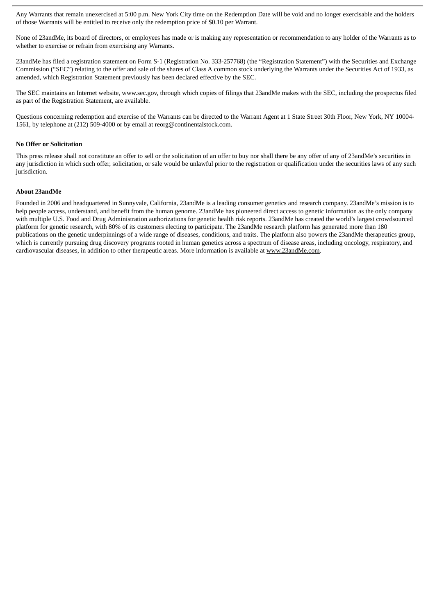Any Warrants that remain unexercised at 5:00 p.m. New York City time on the Redemption Date will be void and no longer exercisable and the holders of those Warrants will be entitled to receive only the redemption price of \$0.10 per Warrant.

None of 23andMe, its board of directors, or employees has made or is making any representation or recommendation to any holder of the Warrants as to whether to exercise or refrain from exercising any Warrants.

23andMe has filed a registration statement on Form S-1 (Registration No. 333-257768) (the "Registration Statement") with the Securities and Exchange Commission ("SEC") relating to the offer and sale of the shares of Class A common stock underlying the Warrants under the Securities Act of 1933, as amended, which Registration Statement previously has been declared effective by the SEC.

The SEC maintains an Internet website, www.sec.gov, through which copies of filings that 23andMe makes with the SEC, including the prospectus filed as part of the Registration Statement, are available.

Questions concerning redemption and exercise of the Warrants can be directed to the Warrant Agent at 1 State Street 30th Floor, New York, NY 10004- 1561, by telephone at (212) 509-4000 or by email at reorg@continentalstock.com.

#### **No Offer or Solicitation**

This press release shall not constitute an offer to sell or the solicitation of an offer to buy nor shall there be any offer of any of 23andMe's securities in any jurisdiction in which such offer, solicitation, or sale would be unlawful prior to the registration or qualification under the securities laws of any such jurisdiction.

#### **About 23andMe**

Founded in 2006 and headquartered in Sunnyvale, California, 23andMe is a leading consumer genetics and research company. 23andMe's mission is to help people access, understand, and benefit from the human genome. 23andMe has pioneered direct access to genetic information as the only company with multiple U.S. Food and Drug Administration authorizations for genetic health risk reports. 23andMe has created the world's largest crowdsourced platform for genetic research, with 80% of its customers electing to participate. The 23andMe research platform has generated more than 180 publications on the genetic underpinnings of a wide range of diseases, conditions, and traits. The platform also powers the 23andMe therapeutics group, which is currently pursuing drug discovery programs rooted in human genetics across a spectrum of disease areas, including oncology, respiratory, and cardiovascular diseases, in addition to other therapeutic areas. More information is available at www.23andMe.com.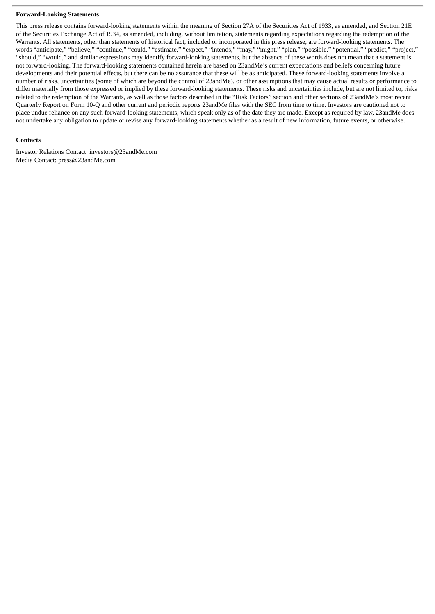#### **Forward-Looking Statements**

This press release contains forward-looking statements within the meaning of Section 27A of the Securities Act of 1933, as amended, and Section 21E of the Securities Exchange Act of 1934, as amended, including, without limitation, statements regarding expectations regarding the redemption of the Warrants. All statements, other than statements of historical fact, included or incorporated in this press release, are forward-looking statements. The words "anticipate," "believe," "continue," "could," "estimate," "expect," "intends," "may," "might," "plan," "possible," "potential," "predict," "project," "should," "would," and similar expressions may identify forward-looking statements, but the absence of these words does not mean that a statement is not forward-looking. The forward-looking statements contained herein are based on 23andMe's current expectations and beliefs concerning future developments and their potential effects, but there can be no assurance that these will be as anticipated. These forward-looking statements involve a number of risks, uncertainties (some of which are beyond the control of 23andMe), or other assumptions that may cause actual results or performance to differ materially from those expressed or implied by these forward-looking statements. These risks and uncertainties include, but are not limited to, risks related to the redemption of the Warrants, as well as those factors described in the "Risk Factors" section and other sections of 23andMe's most recent Quarterly Report on Form 10-Q and other current and periodic reports 23andMe files with the SEC from time to time. Investors are cautioned not to place undue reliance on any such forward-looking statements, which speak only as of the date they are made. Except as required by law, 23andMe does not undertake any obligation to update or revise any forward-looking statements whether as a result of new information, future events, or otherwise.

#### **Contacts**

Investor Relations Contact: investors@23andMe.com Media Contact: press@23andMe.com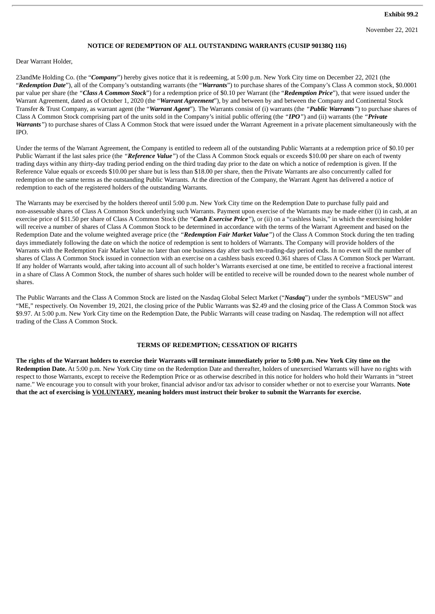#### **NOTICE OF REDEMPTION OF ALL OUTSTANDING WARRANTS (CUSIP 90138Q 116)**

<span id="page-7-0"></span>Dear Warrant Holder,

23andMe Holding Co. (the "*Company*") hereby gives notice that it is redeeming, at 5:00 p.m. New York City time on December 22, 2021 (the "*Redemption Date*"), all of the Company's outstanding warrants (the "*Warrants*") to purchase shares of the Company's Class A common stock, \$0.0001 par value per share (the *"Class A Common Stock*") for a redemption price of \$0.10 per Warrant (the "*Redemption Price*"), that were issued under the Warrant Agreement, dated as of October 1, 2020 (the "*Warrant Agreement*"), by and between by and between the Company and Continental Stock Transfer & Trust Company, as warrant agent (the "*Warrant Agent*"). The Warrants consist of (i) warrants (the *"Public Warrants"*) to purchase shares of Class A Common Stock comprising part of the units sold in the Company's initial public offering (the *"IPO"*) and (ii) warrants (the *"Private Warrants"*) to purchase shares of Class A Common Stock that were issued under the Warrant Agreement in a private placement simultaneously with the IPO.

Under the terms of the Warrant Agreement, the Company is entitled to redeem all of the outstanding Public Warrants at a redemption price of \$0.10 per Public Warrant if the last sales price (the *"Reference Value"*) of the Class A Common Stock equals or exceeds \$10.00 per share on each of twenty trading days within any thirty-day trading period ending on the third trading day prior to the date on which a notice of redemption is given. If the Reference Value equals or exceeds \$10.00 per share but is less than \$18.00 per share, then the Private Warrants are also concurrently called for redemption on the same terms as the outstanding Public Warrants. At the direction of the Company, the Warrant Agent has delivered a notice of redemption to each of the registered holders of the outstanding Warrants.

The Warrants may be exercised by the holders thereof until 5:00 p.m. New York City time on the Redemption Date to purchase fully paid and non-assessable shares of Class A Common Stock underlying such Warrants. Payment upon exercise of the Warrants may be made either (i) in cash, at an exercise price of \$11.50 per share of Class A Common Stock (the *"Cash Exercise Price"*), or (ii) on a "cashless basis," in which the exercising holder will receive a number of shares of Class A Common Stock to be determined in accordance with the terms of the Warrant Agreement and based on the Redemption Date and the volume weighted average price (the *"Redemption Fair Market Value"*) of the Class A Common Stock during the ten trading days immediately following the date on which the notice of redemption is sent to holders of Warrants. The Company will provide holders of the Warrants with the Redemption Fair Market Value no later than one business day after such ten-trading-day period ends. In no event will the number of shares of Class A Common Stock issued in connection with an exercise on a cashless basis exceed 0.361 shares of Class A Common Stock per Warrant. If any holder of Warrants would, after taking into account all of such holder's Warrants exercised at one time, be entitled to receive a fractional interest in a share of Class A Common Stock, the number of shares such holder will be entitled to receive will be rounded down to the nearest whole number of shares.

The Public Warrants and the Class A Common Stock are listed on the Nasdaq Global Select Market ("*Nasdaq*") under the symbols "MEUSW" and "ME," respectively. On November 19, 2021, the closing price of the Public Warrants was \$2.49 and the closing price of the Class A Common Stock was \$9.97. At 5:00 p.m. New York City time on the Redemption Date, the Public Warrants will cease trading on Nasdaq. The redemption will not affect trading of the Class A Common Stock.

#### **TERMS OF REDEMPTION; CESSATION OF RIGHTS**

The rights of the Warrant holders to exercise their Warrants will terminate immediately prior to 5:00 p.m. New York City time on the **Redemption Date.** At 5:00 p.m. New York City time on the Redemption Date and thereafter, holders of unexercised Warrants will have no rights with respect to those Warrants, except to receive the Redemption Price or as otherwise described in this notice for holders who hold their Warrants in "street name." We encourage you to consult with your broker, financial advisor and/or tax advisor to consider whether or not to exercise your Warrants. **Note** that the act of exercising is VOLUNTARY, meaning holders must instruct their broker to submit the Warrants for exercise.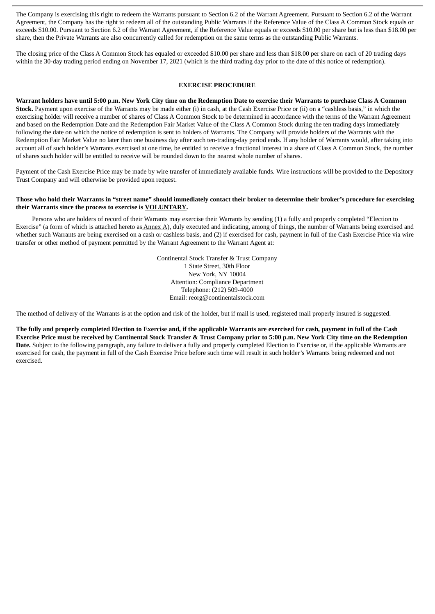The Company is exercising this right to redeem the Warrants pursuant to Section 6.2 of the Warrant Agreement. Pursuant to Section 6.2 of the Warrant Agreement, the Company has the right to redeem all of the outstanding Public Warrants if the Reference Value of the Class A Common Stock equals or exceeds \$10.00. Pursuant to Section 6.2 of the Warrant Agreement, if the Reference Value equals or exceeds \$10.00 per share but is less than \$18.00 per share, then the Private Warrants are also concurrently called for redemption on the same terms as the outstanding Public Warrants.

The closing price of the Class A Common Stock has equaled or exceeded \$10.00 per share and less than \$18.00 per share on each of 20 trading days within the 30-day trading period ending on November 17, 2021 (which is the third trading day prior to the date of this notice of redemption).

#### **EXERCISE PROCEDURE**

Warrant holders have until 5:00 p.m. New York City time on the Redemption Date to exercise their Warrants to purchase Class A Common **Stock.** Payment upon exercise of the Warrants may be made either (i) in cash, at the Cash Exercise Price or (ii) on a "cashless basis," in which the exercising holder will receive a number of shares of Class A Common Stock to be determined in accordance with the terms of the Warrant Agreement and based on the Redemption Date and the Redemption Fair Market Value of the Class A Common Stock during the ten trading days immediately following the date on which the notice of redemption is sent to holders of Warrants. The Company will provide holders of the Warrants with the Redemption Fair Market Value no later than one business day after such ten-trading-day period ends. If any holder of Warrants would, after taking into account all of such holder's Warrants exercised at one time, be entitled to receive a fractional interest in a share of Class A Common Stock, the number of shares such holder will be entitled to receive will be rounded down to the nearest whole number of shares.

Payment of the Cash Exercise Price may be made by wire transfer of immediately available funds. Wire instructions will be provided to the Depository Trust Company and will otherwise be provided upon request.

#### Those who hold their Warrants in "street name" should immediately contact their broker to determine their broker's procedure for exercising **their Warrants since the process to exercise is VOLUNTARY.**

Persons who are holders of record of their Warrants may exercise their Warrants by sending (1) a fully and properly completed "Election to Exercise" (a form of which is attached hereto as Annex A), duly executed and indicating, among of things, the number of Warrants being exercised and whether such Warrants are being exercised on a cash or cashless basis, and (2) if exercised for cash, payment in full of the Cash Exercise Price via wire transfer or other method of payment permitted by the Warrant Agreement to the Warrant Agent at:

> Continental Stock Transfer & Trust Company 1 State Street, 30th Floor New York, NY 10004 Attention: Compliance Department Telephone: (212) 509-4000 Email: reorg@continentalstock.com

The method of delivery of the Warrants is at the option and risk of the holder, but if mail is used, registered mail properly insured is suggested.

The fully and properly completed Election to Exercise and, if the applicable Warrants are exercised for cash, payment in full of the Cash Exercise Price must be received by Continental Stock Transfer & Trust Company prior to 5:00 p.m. New York City time on the Redemption **Date.** Subject to the following paragraph, any failure to deliver a fully and properly completed Election to Exercise or, if the applicable Warrants are exercised for cash, the payment in full of the Cash Exercise Price before such time will result in such holder's Warrants being redeemed and not exercised.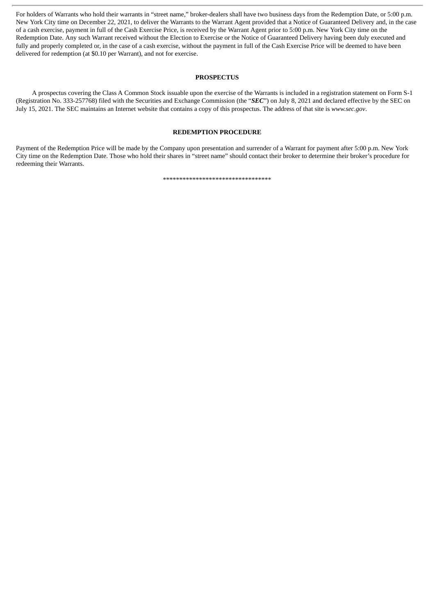For holders of Warrants who hold their warrants in "street name," broker-dealers shall have two business days from the Redemption Date, or 5:00 p.m. New York City time on December 22, 2021, to deliver the Warrants to the Warrant Agent provided that a Notice of Guaranteed Delivery and, in the case of a cash exercise, payment in full of the Cash Exercise Price, is received by the Warrant Agent prior to 5:00 p.m. New York City time on the Redemption Date. Any such Warrant received without the Election to Exercise or the Notice of Guaranteed Delivery having been duly executed and fully and properly completed or, in the case of a cash exercise, without the payment in full of the Cash Exercise Price will be deemed to have been delivered for redemption (at \$0.10 per Warrant), and not for exercise.

#### **PROSPECTUS**

A prospectus covering the Class A Common Stock issuable upon the exercise of the Warrants is included in a registration statement on Form S-1 (Registration No. 333-257768) filed with the Securities and Exchange Commission (the "*SEC*") on July 8, 2021 and declared effective by the SEC on July 15, 2021. The SEC maintains an Internet website that contains a copy of this prospectus. The address of that site is *www.sec.gov*.

#### **REDEMPTION PROCEDURE**

Payment of the Redemption Price will be made by the Company upon presentation and surrender of a Warrant for payment after 5:00 p.m. New York City time on the Redemption Date. Those who hold their shares in "street name" should contact their broker to determine their broker's procedure for redeeming their Warrants.

\*\*\*\*\*\*\*\*\*\*\*\*\*\*\*\*\*\*\*\*\*\*\*\*\*\*\*\*\*\*\*\*\*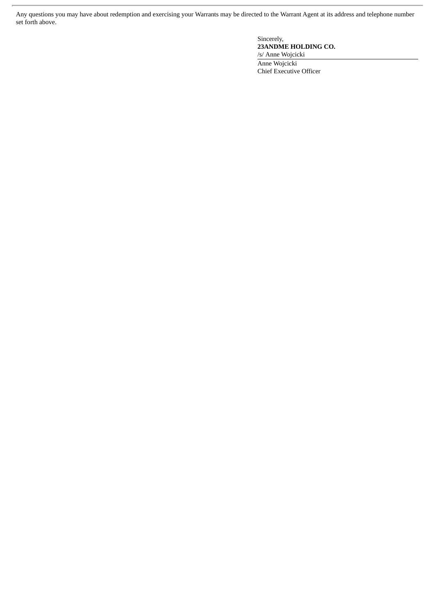Any questions you may have about redemption and exercising your Warrants may be directed to the Warrant Agent at its address and telephone number set forth above.

> Sincerely, **23ANDME HOLDING CO.** /s/ Anne Wojcicki Anne Wojcicki Chief Executive Officer